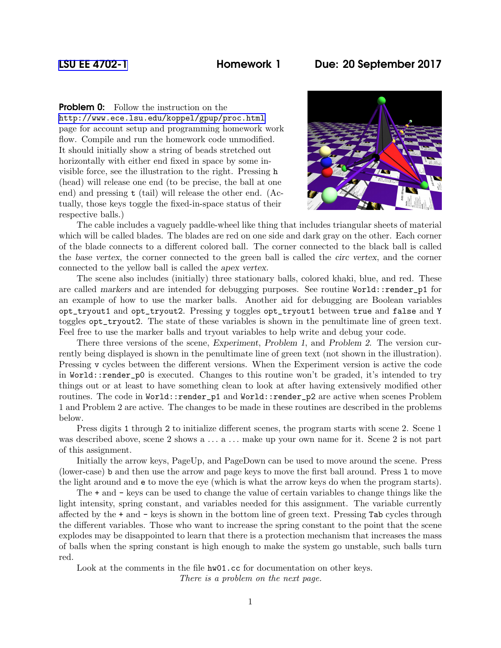## [LSU EE 4702-1](http://www.ece.lsu.edu/koppel/gpup/) Homework 1 Due: 20 September 2017

**Problem 0:** Follow the instruction on the

<http://www.ece.lsu.edu/koppel/gpup/proc.html> page for account setup and programming homework work flow. Compile and run the homework code unmodified. It should initially show a string of beads stretched out horizontally with either end fixed in space by some invisible force, see the illustration to the right. Pressing h (head) will release one end (to be precise, the ball at one end) and pressing t (tail) will release the other end. (Actually, those keys toggle the fixed-in-space status of their respective balls.)



The cable includes a vaguely paddle-wheel like thing that includes triangular sheets of material which will be called blades. The blades are red on one side and dark gray on the other. Each corner of the blade connects to a different colored ball. The corner connected to the black ball is called the base vertex, the corner connected to the green ball is called the circ vertex, and the corner connected to the yellow ball is called the apex vertex.

The scene also includes (initially) three stationary balls, colored khaki, blue, and red. These are called markers and are intended for debugging purposes. See routine World::render\_p1 for an example of how to use the marker balls. Another aid for debugging are Boolean variables opt\_tryout1 and opt\_tryout2. Pressing y toggles opt\_tryout1 between true and false and Y toggles opt\_tryout2. The state of these variables is shown in the penultimate line of green text. Feel free to use the marker balls and tryout variables to help write and debug your code.

There three versions of the scene, Experiment, Problem 1, and Problem 2. The version currently being displayed is shown in the penultimate line of green text (not shown in the illustration). Pressing v cycles between the different versions. When the Experiment version is active the code in World::render\_p0 is executed. Changes to this routine won't be graded, it's intended to try things out or at least to have something clean to look at after having extensively modified other routines. The code in World::render\_p1 and World::render\_p2 are active when scenes Problem 1 and Problem 2 are active. The changes to be made in these routines are described in the problems below.

Press digits 1 through 2 to initialize different scenes, the program starts with scene 2. Scene 1 was described above, scene 2 shows a ... a ... make up your own name for it. Scene 2 is not part of this assignment.

Initially the arrow keys, PageUp, and PageDown can be used to move around the scene. Press (lower-case) b and then use the arrow and page keys to move the first ball around. Press l to move the light around and e to move the eye (which is what the arrow keys do when the program starts).

The + and - keys can be used to change the value of certain variables to change things like the light intensity, spring constant, and variables needed for this assignment. The variable currently affected by the + and - keys is shown in the bottom line of green text. Pressing Tab cycles through the different variables. Those who want to increase the spring constant to the point that the scene explodes may be disappointed to learn that there is a protection mechanism that increases the mass of balls when the spring constant is high enough to make the system go unstable, such balls turn red.

Look at the comments in the file  $h\text{w01}$ .cc for documentation on other keys. There is a problem on the next page.